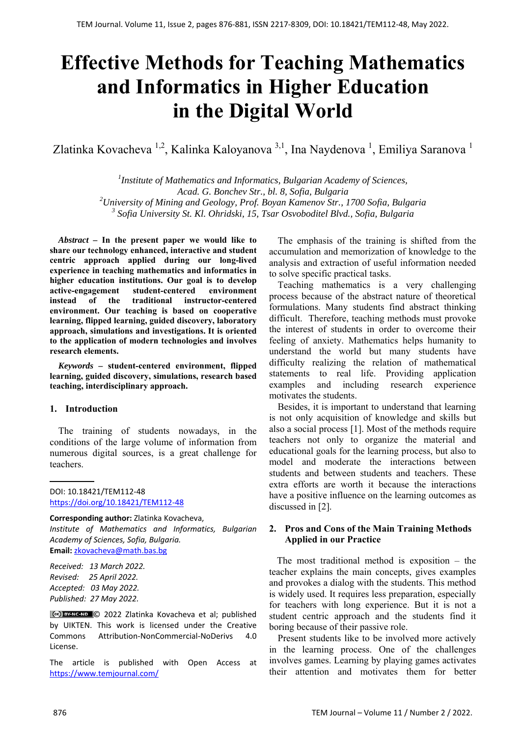# **Effective Methods for Teaching Mathematics and Informatics in Higher Education in the Digital World**

Zlatinka Kovacheva  $^{1,2}$ , Kalinka Kaloyanova  $^{3,1}$ , Ina Naydenova  $^{1}$ , Emiliya Saranova  $^{1}$ 

<sup>1</sup> Institute of Mathematics and Informatics, Bulgarian Academy of Sciences, *Acad. G. Bonchev Str., bl. 8, Sofia, Bulgaria 2 University of Mining and Geology, Prof. Boyan Kamenov Str., 1700 Sofia, Bulgaria <sup>3</sup> Sofia University St. Kl. Ohridski, 15, Tsar Osvoboditel Blvd., Sofia, Bulgaria* 

*Abstract –* **In the present paper we would like to share our technology enhanced, interactive and student centric approach applied during our long-lived experience in teaching mathematics and informatics in higher education institutions. Our goal is to develop active-engagement student-centered environment instead of the traditional instructor-centered environment. Our teaching is based on cooperative learning, flipped learning, guided discovery, laboratory approach, simulations and investigations. It is oriented to the application of modern technologies and involves research elements.** 

*Keywords –* **student-centered environment, flipped learning, guided discovery, simulations, research based teaching, interdisciplinary approach.**

#### **1. Introduction**

The training of students nowadays, in the conditions of the large volume of information from numerous digital sources, is a great challenge for teachers.

DOI: 10.18421/TEM112-48 [https://doi.org/10.18421/TEM112](https://doi.org/10.18421/TEM112-48)-48

#### **Corresponding author:** Zlatinka Kovacheva,

*Institute of Mathematics and Informatics, Bulgarian Academy of Sciences, Sofia, Bulgaria.*  **Email:** zkovacheva@math.bas.bg

*Received: 13 March 2022. Revised: 25 April 2022. Accepted: 03 May 2022. Published: 27 May 2022.* 

© 2022 Zlatinka Kovacheva et al; published by UIKTEN. This work is licensed under the Creative Commons Attribution‐NonCommercial‐NoDerivs 4.0 License.

The article is published with Open Access at https://www.temjournal.com/

The emphasis of the training is shifted from the accumulation and memorization of knowledge to the analysis and extraction of useful information needed to solve specific practical tasks.

Teaching mathematics is a very challenging process because of the abstract nature of theoretical formulations. Many students find abstract thinking difficult. Therefore, teaching methods must provoke the interest of students in order to overcome their feeling of anxiety. Mathematics helps humanity to understand the world but many students have difficulty realizing the relation of mathematical statements to real life. Providing application examples and including research experience motivates the students.

Besides, it is important to understand that learning is not only acquisition of knowledge and skills but also a social process [1]. Most of the methods require teachers not only to organize the material and educational goals for the learning process, but also to model and moderate the interactions between students and between students and teachers. These extra efforts are worth it because the interactions have a positive influence on the learning outcomes as discussed in [2].

# **2. Pros and Cons of the Main Training Methods Applied in our Practice**

The most traditional method is exposition – the teacher explains the main concepts, gives examples and provokes a dialog with the students. This method is widely used. It requires less preparation, especially for teachers with long experience. But it is not a student centric approach and the students find it boring because of their passive role.

Present students like to be involved more actively in the learning process. One of the challenges involves games. Learning by playing games activates their attention and motivates them for better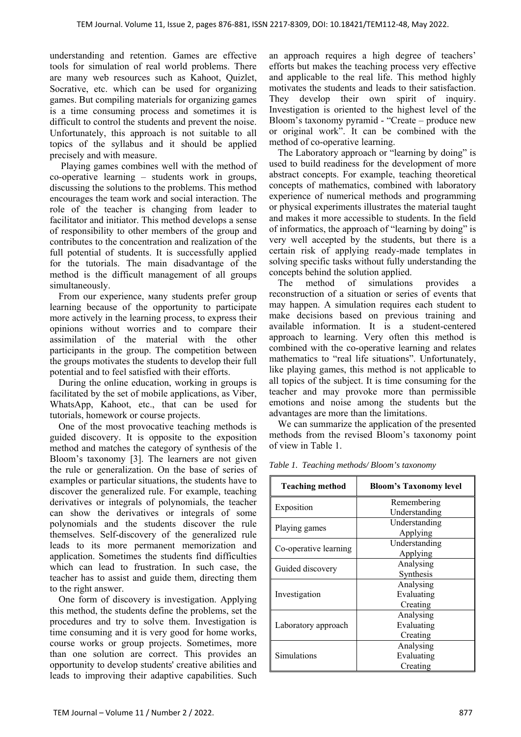understanding and retention. Games are effective tools for simulation of real world problems. There are many web resources such as Kahoot, Quizlet, Socrative, etc. which can be used for organizing games. But compiling materials for organizing games is a time consuming process and sometimes it is difficult to control the students and prevent the noise. Unfortunately, this approach is not suitable to all topics of the syllabus and it should be applied precisely and with measure.

 Playing games combines well with the method of co-operative learning – students work in groups, discussing the solutions to the problems. This method encourages the team work and social interaction. The role of the teacher is changing from leader to facilitator and initiator. This method develops a sense of responsibility to other members of the group and contributes to the concentration and realization of the full potential of students. It is successfully applied for the tutorials. The main disadvantage of the method is the difficult management of all groups simultaneously.

From our experience, мany students prefer group learning because of the opportunity to participate more actively in the learning process, to express their opinions without worries and to compare their assimilation of the material with the other participants in the group. The competition between the groups motivates the students to develop their full potential and to feel satisfied with their efforts.

During the online education, working in groups is facilitated by the set of mobile applications, as Viber, WhatsApp, Kahoot, etc., that can be used for tutorials, homework or course projects.

One of the most provocative teaching methods is guided discovery. It is opposite to the exposition method and matches the category of synthesis of the Bloom's taxonomy [3]. The learners are not given the rule or generalization. On the base of series of examples or particular situations, the students have to discover the generalized rule. For example, teaching derivatives or integrals of polynomials, the teacher can show the derivatives or integrals of some polynomials and the students discover the rule themselves. Self-discovery of the generalized rule leads to its more permanent memorization and application. Sometimes the students find difficulties which can lead to frustration. In such case, the teacher has to assist and guide them, directing them to the right answer.

One form of discovery is investigation. Applying this method, the students define the problems, set the procedures and try to solve them. Investigation is time consuming and it is very good for home works, course works or group projects. Sometimes, more than one solution are correct. This provides an opportunity to develop students' creative abilities and leads to improving their adaptive capabilities. Such an approach requires a high degree of teachers' efforts but makes the teaching process very effective and applicable to the real life. This method highly motivates the students and leads to their satisfaction. They develop their own spirit of inquiry. Investigation is oriented to the highest level of the Bloom's taxonomy pyramid - "Create – produce new or original work". It can be combined with the method of co-operative learning.

The Laboratory approach or "learning by doing" is used to build readiness for the development of more abstract concepts. For example, teaching theoretical concepts of mathematics, combined with laboratory experience of numerical methods and programming or physical experiments illustrates the material taught and makes it more accessible to students. In the field of informatics, the approach of "learning by doing" is very well accepted by the students, but there is a certain risk of applying ready-made templates in solving specific tasks without fully understanding the concepts behind the solution applied.

The method of simulations provides a reconstruction of a situation or series of events that may happen. A simulation requires each student to make decisions based on previous training and available information. It is a student-centered approach to learning. Very often this method is combined with the co-operative learning and relates mathematics to "real life situations". Unfortunately, like playing games, this method is not applicable to all topics of the subject. It is time consuming for the teacher and may provoke more than permissible emotions and noise among the students but the advantages are more than the limitations.

We can summarize the application of the presented methods from the revised Bloom's taxonomy point of view in Table 1.

| <b>Teaching method</b> | <b>Bloom's Taxonomy level</b> |
|------------------------|-------------------------------|
| Exposition             | Remembering                   |
|                        | Understanding                 |
| Playing games          | Understanding                 |
|                        | Applying                      |
| Co-operative learning  | Understanding                 |
|                        | Applying                      |
| Guided discovery       | Analysing                     |
|                        | Synthesis                     |
| Investigation          | Analysing                     |
|                        | Evaluating                    |
|                        | Creating                      |
| Laboratory approach    | Analysing                     |
|                        | Evaluating                    |
|                        | Creating                      |
| Simulations            | Analysing                     |
|                        | Evaluating                    |
|                        | Creating                      |

*Table 1. Teaching methods/ Bloom's taxonomy*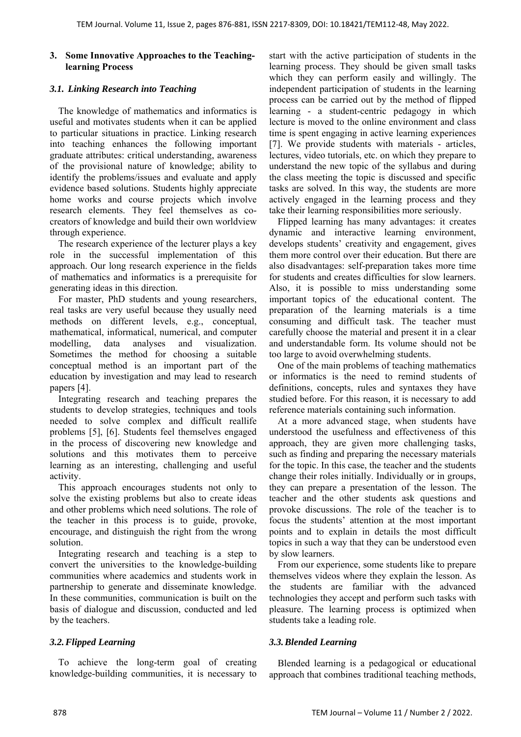# **3. Some Innovative Approaches to the Teachinglearning Process**

#### *3.1. Linking Research into Teaching*

The knowledge of mathematics and informatics is useful and motivates students when it can be applied to particular situations in practice. Linking research into teaching enhances the following important graduate attributes: critical understanding, awareness of the provisional nature of knowledge; ability to identify the problems/issues and evaluate and apply evidence based solutions. Students highly appreciate home works and course projects which involve research elements. They feel themselves as cocreators of knowledge and build their own worldview through experience.

The research experience of the lecturer plays a key role in the successful implementation of this approach. Our long research experience in the fields of mathematics and informatics is a prerequisite for generating ideas in this direction.

For master, PhD students and young researchers, real tasks are very useful because they usually need methods on different levels, e.g., conceptual, mathematical, informatical, numerical, and computer modelling, data analyses and visualization. Sometimes the method for choosing a suitable conceptual method is an important part of the education by investigation and may lead to research papers [4].

Integrating research and teaching prepares the students to develop strategies, techniques and tools needed to solve complex and difficult reallife problems [5], [6]. Students feel themselves engaged in the process of discovering new knowledge and solutions and this motivates them to perceive learning as an interesting, challenging and useful activity.

This approach encourages students not only to solve the existing problems but also to create ideas and other problems which need solutions. The role of the teacher in this process is to guide, provoke, encourage, and distinguish the right from the wrong solution.

Integrating research and teaching is a step to convert the universities to the knowledge-building communities where academics and students work in partnership to generate and disseminate knowledge. In these communities, communication is built on the basis of dialogue and discussion, conducted and led by the teachers.

### *3.2.Flipped Learning*

To achieve the long-term goal of creating knowledge-building communities, it is necessary to start with the active participation of students in the learning process. They should be given small tasks which they can perform easily and willingly. The independent participation of students in the learning process can be carried out by the method of flipped learning - a student-centric pedagogy in which lecture is moved to the online environment and class time is spent engaging in active learning experiences [7]. We provide students with materials - articles, lectures, video tutorials, etc. on which they prepare to understand the new topic of the syllabus and during the class meeting the topic is discussed and specific tasks are solved. In this way, the students are more actively engaged in the learning process and they take their learning responsibilities more seriously.

Flipped learning has many advantages: it creates dynamic and interactive learning environment, develops students' creativity and engagement, gives them more control over their education. But there are also disadvantages: self-preparation takes more time for students and creates difficulties for slow learners. Also, it is possible to miss understanding some important topics of the educational content. The preparation of the learning materials is a time consuming and difficult task. The teacher must carefully choose the material and present it in a clear and understandable form. Its volume should not be too large to avoid overwhelming students.

One of the main problems of teaching mathematics or informatics is the need to remind students of definitions, concepts, rules and syntaxes they have studied before. For this reason, it is necessary to add reference materials containing such information.

At a more advanced stage, when students have understood the usefulness and effectiveness of this approach, they are given more challenging tasks, such as finding and preparing the necessary materials for the topic. In this case, the teacher and the students change their roles initially. Individually or in groups, they can prepare a presentation of the lesson. The teacher and the other students ask questions and provoke discussions. The role of the teacher is to focus the students' attention at the most important points and to explain in details the most difficult topics in such a way that they can be understood even by slow learners.

From our experience, some students like to prepare themselves videos where they explain the lesson. As the students are familiar with the advanced technologies they accept and perform such tasks with pleasure. The learning process is optimized when students take a leading role.

### *3.3.Blended Learning*

Blended learning is a pedagogical or educational approach that combines traditional teaching methods,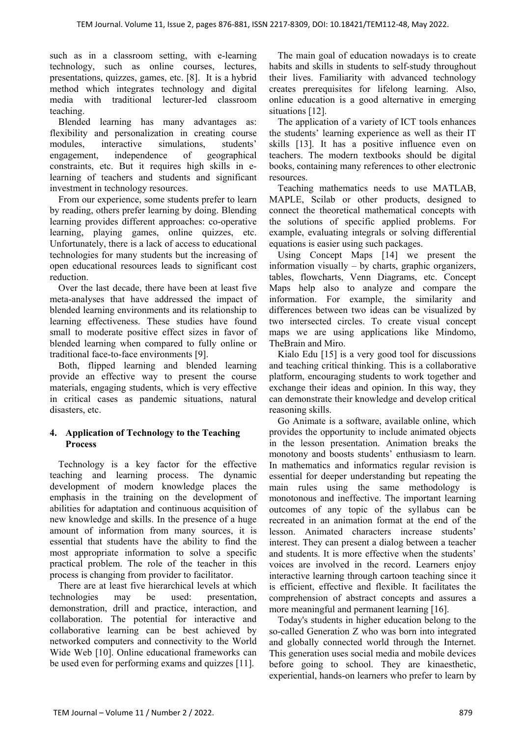such as in a classroom setting, with e-learning technology, such as online courses, lectures, presentations, quizzes, games, etc. [8]. It is a hybrid method which integrates technology and digital media with traditional lecturer-led classroom teaching.

Blended learning has many advantages as: flexibility and personalization in creating course modules, interactive simulations, students' engagement, independence of geographical constraints, etc. But it requires high skills in elearning of teachers and students and significant investment in technology resources.

From our experience, some students prefer to learn by reading, others prefer learning by doing. Blending learning provides different approaches: co-operative learning, playing games, online quizzes, etc. Unfortunately, there is a lack of access to educational technologies for many students but the increasing of open educational resources leads to significant cost reduction.

Over the last decade, there have been at least five meta-analyses that have addressed the impact of blended learning environments and its relationship to learning effectiveness. These studies have found small to moderate positive effect sizes in favor of blended learning when compared to fully online or traditional face-to-face environments [9].

Both, flipped learning and blended learning provide an effective way to present the course materials, engaging students, which is very effective in critical cases as pandemic situations, natural disasters, etc.

# **4. Application of Technology to the Teaching Process**

Technology is a key factor for the effective teaching and learning process. The dynamic development of modern knowledge places the emphasis in the training on the development of abilities for adaptation and continuous acquisition of new knowledge and skills. In the presence of a huge amount of information from many sources, it is essential that students have the ability to find the most appropriate information to solve a specific practical problem. The role of the teacher in this process is changing from provider to facilitator.

There are at least five hierarchical levels at which technologies may be used: presentation, demonstration, drill and practice, interaction, and collaboration. The potential for interactive and collaborative learning can be best achieved by networked computers and connectivity to the World Wide Web [10]. Online educational frameworks can be used even for performing exams and quizzes [11].

The main goal of education nowadays is to create habits and skills in students to self-study throughout their lives. Familiarity with advanced technology creates prerequisites for lifelong learning. Also, online education is a good alternative in emerging situations [12].

The application of a variety of ICT tools enhances the students' learning experience as well as their IT skills [13]. It has a positive influence even on teachers. The modern textbooks should be digital books, containing many references to other electronic resources.

Teaching mathematics needs to use MATLAB, MAPLE, Scilab or other products, designed to connect the theoretical mathematical concepts with the solutions of specific applied problems. For example, evaluating integrals or solving differential equations is easier using such packages.

Using Concept Maps [14] we present the information visually – by charts, graphic organizers, tables, flowcharts, Venn Diagrams, etc. Concept Maps help also to analyze and compare the information. For example, the similarity and differences between two ideas can be visualized by two intersected circles. To create visual concept maps we are using applications like Mindomo, TheBrain and Miro.

Kialo Edu [15] is a very good tool for discussions and teaching critical thinking. This is a collaborative platform, encouraging students to work together and exchange their ideas and opinion. In this way, they can demonstrate their knowledge and develop critical reasoning skills.

Go Animate is a software, available online, which provides the opportunity to include animated objects in the lesson presentation. Animation breaks the monotony and boosts students' enthusiasm to learn. In mathematics and informatics regular revision is essential for deeper understanding but repeating the main rules using the same methodology is monotonous and ineffective. The important learning outcomes of any topic of the syllabus can be recreated in an animation format at the end of the lesson. Animated characters increase students' interest. They can present a dialog between a teacher and students. It is more effective when the students' voices are involved in the record. Learners enjoy interactive learning through cartoon teaching since it is efficient, effective and flexible. It facilitates the comprehension of abstract concepts and assures a more meaningful and permanent learning [16].

Today's students in higher education belong to the so-called Generation Z who was born into integrated and globally connected world through the Internet. This generation uses social media and mobile devices before going to school. They are kinaesthetic, experiential, hands-on learners who prefer to learn by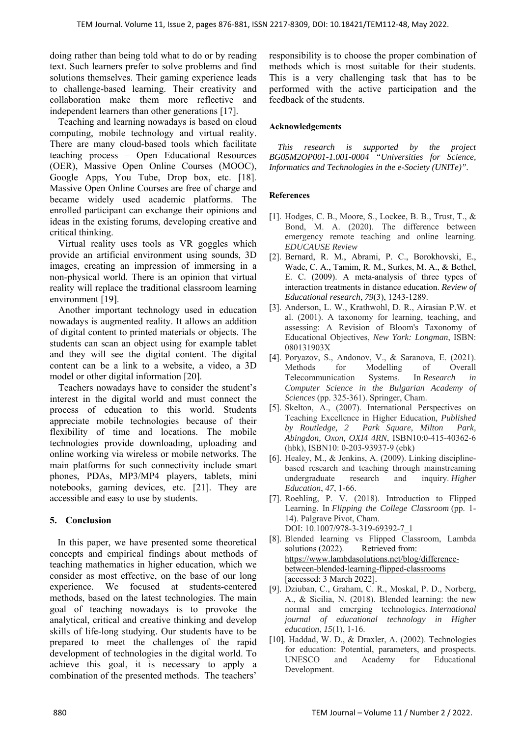doing rather than being told what to do or by reading text. Such learners prefer to solve problems and find solutions themselves. Their gaming experience leads to challenge-based learning. Their creativity and collaboration make them more reflective and independent learners than other generations [17].

Teaching and learning nowadays is based on cloud computing, mobile technology and virtual reality. There are many cloud-based tools which facilitate teaching process – Open Educational Resources (OER), Massive Open Online Courses (MOOC), Google Apps, You Tube, Drop box, etc. [18]. Massive Open Online Courses are free of charge and became widely used academic platforms. The enrolled participant can exchange their opinions and ideas in the existing forums, developing creative and critical thinking.

Virtual reality uses tools as VR goggles which provide an artificial environment using sounds, 3D images, creating an impression of immersing in a non-physical world. There is an opinion that virtual reality will replace the traditional classroom learning environment [19].

Another important technology used in education nowadays is augmented reality. It allows an addition of digital content to printed materials or objects. The students can scan an object using for example tablet and they will see the digital content. The digital content can be a link to a website, a video, a 3D model or other digital information [20].

Teachers nowadays have to consider the student's interest in the digital world and must connect the process of education to this world. Students appreciate mobile technologies because of their flexibility of time and locations. The mobile technologies provide downloading, uploading and online working via wireless or mobile networks. The main platforms for such connectivity include smart phones, PDAs, MP3/MP4 players, tablets, mini notebooks, gaming devices, etc. [21]. They are accessible and easy to use by students.

### **5. Conclusion**

In this paper, we have presented some theoretical concepts and empirical findings about methods of teaching mathematics in higher education, which we consider as most effective, on the base of our long experience. We focused at students-centered methods, based on the latest technologies. The main goal of teaching nowadays is to provoke the analytical, critical and creative thinking and develop skills of life-long studying. Our students have to be prepared to meet the challenges of the rapid development of technologies in the digital world. To achieve this goal, it is necessary to apply a combination of the presented methods. The teachers'

responsibility is to choose the proper combination of methods which is most suitable for their students. This is a very challenging task that has to be performed with the active participation and the feedback of the students.

#### **Acknowledgements**

*This research is supported by the project BG05M2OP001-1.001-0004 "Universities for Science, Informatics and Technologies in the e-Society (UNITe)".* 

### **References**

- [1]. Hodges, C. B., Moore, S., Lockee, B. B., Trust, T., & Bond, M. A. (2020). The difference between emergency remote teaching and online learning. *EDUCAUSE Review*
- [2]. Bernard, R. M., Abrami, P. C., Borokhovski, E., Wade, C. A., Tamim, R. M., Surkes, M. A., & Bethel, E. C. (2009). A meta-analysis of three types of interaction treatments in distance education. *Review of Educational research*, *79*(3), 1243-1289.
- [3]. Anderson, L. W., Krathwohl, D. R., Airasian P.W. et al. (2001). A taxonomy for learning, teaching, and assessing: A Revision of Bloom's Taxonomy of Educational Objectives, *New York: Longman*, ISBN: 080131903X
- [4]. Poryazov, S., Andonov, V., & Saranova, E. (2021). Methods for Modelling of Overall Telecommunication Systems. In *Research in Computer Science in the Bulgarian Academy of Sciences* (pp. 325-361). Springer, Cham.
- [5]. Skelton, A., (2007). International Perspectives on Teaching Excellence in Higher Education*, Published by Routledge, 2 Park Square, Milton Park, Abingdon, Oxon, OXI4 4RN*, ISBN10:0-415-40362-6 (hbk), ISBN10: 0-203-93937-9 (ebk)
- [6]. Healey, M., & Jenkins, A. (2009). Linking disciplinebased research and teaching through mainstreaming undergraduate research and inquiry. *Higher Education*, *47*, 1-66.
- [7]. Roehling, P. V. (2018). Introduction to Flipped Learning. In *Flipping the College Classroom* (pp. 1- 14). Palgrave Pivot, Cham. DOI: 10.1007/978-3-319-69392-7\_1
- [8]. Blended learning vs Flipped Classroom, Lambda solutions (2022). Retrieved from: https://www.lambdasolutions.net/blog/differencebetween-blended-learning-flipped-classrooms [accessed: 3 March 2022].
- [9]. Dziuban, C., Graham, C. R., Moskal, P. D., Norberg, A., & Sicilia, N. (2018). Blended learning: the new normal and emerging technologies. *International journal of educational technology in Higher education*, *15*(1), 1-16.
- [10]. Haddad, W. D., & Draxler, A. (2002). Technologies for education: Potential, parameters, and prospects. UNESCO and Academy for Educational Development.